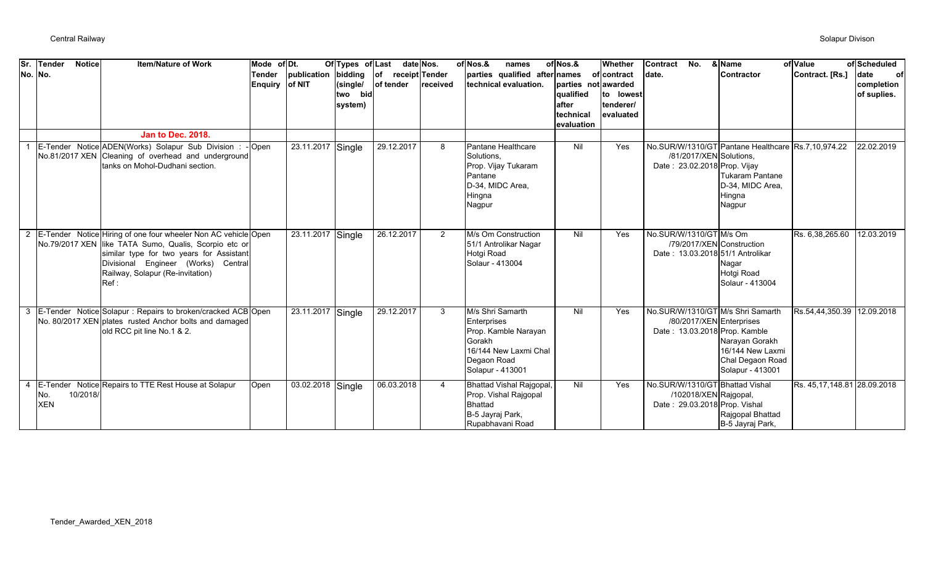| Sr.         | Tender<br>No. No. | <b>Notice</b> | <b>Item/Nature of Work</b>                                                                                                                                                                                                                             | Mode of Dt.<br>Tender<br><b>Enquiry</b> | publication<br>of NIT | Of Types of Last<br>bidding<br>(single/<br>two bid<br>system) | $ $ of<br>receipt Tender<br>of tender | date Nos.<br><b>Ireceived</b> | of Nos.&<br>names<br>parties qualified after names<br>technical evaluation.                                                   | of Nos.&<br>parties not awarded<br>qualified<br>after<br>technical | Whether<br>of contract<br>to lowest<br>tenderer/<br>evaluated | <b>Contract</b><br>No.<br>date.                                                                               | & Name<br><b>Contractor</b>                                                | of Value<br>Contract. [Rs.] | of Scheduled<br>date<br>of<br>completion<br>of suplies. |
|-------------|-------------------|---------------|--------------------------------------------------------------------------------------------------------------------------------------------------------------------------------------------------------------------------------------------------------|-----------------------------------------|-----------------------|---------------------------------------------------------------|---------------------------------------|-------------------------------|-------------------------------------------------------------------------------------------------------------------------------|--------------------------------------------------------------------|---------------------------------------------------------------|---------------------------------------------------------------------------------------------------------------|----------------------------------------------------------------------------|-----------------------------|---------------------------------------------------------|
|             |                   |               | <b>Jan to Dec. 2018.</b>                                                                                                                                                                                                                               |                                         |                       |                                                               |                                       |                               |                                                                                                                               | evaluation                                                         |                                                               |                                                                                                               |                                                                            |                             |                                                         |
|             |                   |               | E-Tender Notice ADEN(Works) Solapur Sub Division : - Open<br>No.81/2017 XEN Cleaning of overhead and underground<br>tanks on Mohol-Dudhani section.                                                                                                    |                                         | 23.11.2017            | Single                                                        | 29.12.2017                            | 8                             | Pantane Healthcare<br>Solutions,<br>Prop. Vijay Tukaram<br>Pantane<br>D-34, MIDC Area,<br>Hingna<br>Nagpur                    | Nil                                                                | Yes                                                           | No.SUR/W/1310/GT Pantane Healthcare Rs.7,10,974.22<br>/81/2017/XEN Solutions,<br>Date: 23.02.2018 Prop. Vijay | <b>Tukaram Pantane</b><br>D-34, MIDC Area,<br>Hingna<br>Nagpur             |                             | 22.02.2019                                              |
| $2^{\circ}$ |                   |               | E-Tender Notice Hiring of one four wheeler Non AC vehicle Open<br>No.79/2017 XEN like TATA Sumo, Qualis, Scorpio etc or<br>similar type for two years for Assistant<br>Divisional Engineer (Works) Central<br>Railway, Solapur (Re-invitation)<br>Ref: |                                         | 23.11.2017 Single     |                                                               | 26.12.2017                            | 2                             | M/s Om Construction<br>51/1 Antrolikar Nagar<br>Hotgi Road<br>Solaur - 413004                                                 | Nil                                                                | Yes                                                           | No.SUR/W/1310/GT M/s Om<br>/79/2017/XEN Construction<br>Date: 13.03.2018 51/1 Antrolikar                      | Nagar<br>Hotgi Road<br>Solaur - 413004                                     | Rs. 6,38,265.60             | 12.03.2019                                              |
| 3           |                   |               | E-Tender Notice Solapur: Repairs to broken/cracked ACB Open<br>No. 80/2017 XEN plates rusted Anchor bolts and damaged<br>old RCC pit line No.1 & 2.                                                                                                    |                                         | 23.11.2017 Single     |                                                               | 29.12.2017                            | 3                             | M/s Shri Samarth<br>Enterprises<br>Prop. Kamble Narayan<br>Gorakh<br>16/144 New Laxmi Chal<br>Degaon Road<br>Solapur - 413001 | Nil                                                                | Yes                                                           | No.SUR/W/1310/GT M/s Shri Samarth<br>/80/2017/XEN Enterprises<br>Date: 13.03.2018 Prop. Kamble                | Narayan Gorakh<br>16/144 New Laxmi<br>Chal Degaon Road<br>Solapur - 413001 | Rs.54,44,350.39             | 12.09.2018                                              |
| 4           | No.<br><b>XEN</b> | 10/2018/      | E-Tender Notice Repairs to TTE Rest House at Solapur                                                                                                                                                                                                   | Open                                    | 03.02.2018 Single     |                                                               | 06.03.2018                            | $\overline{4}$                | <b>Bhattad Vishal Rajgopal,</b><br>Prop. Vishal Rajgopal<br><b>Bhattad</b><br>B-5 Jayraj Park,<br>Rupabhavani Road            | Nil                                                                | Yes                                                           | No.SUR/W/1310/GT Bhattad Vishal<br>/102018/XEN Rajgopal,<br>Date: 29.03.2018 Prop. Vishal                     | Rajgopal Bhattad<br>B-5 Jayraj Park,                                       | Rs. 45,17,148.81 28.09.2018 |                                                         |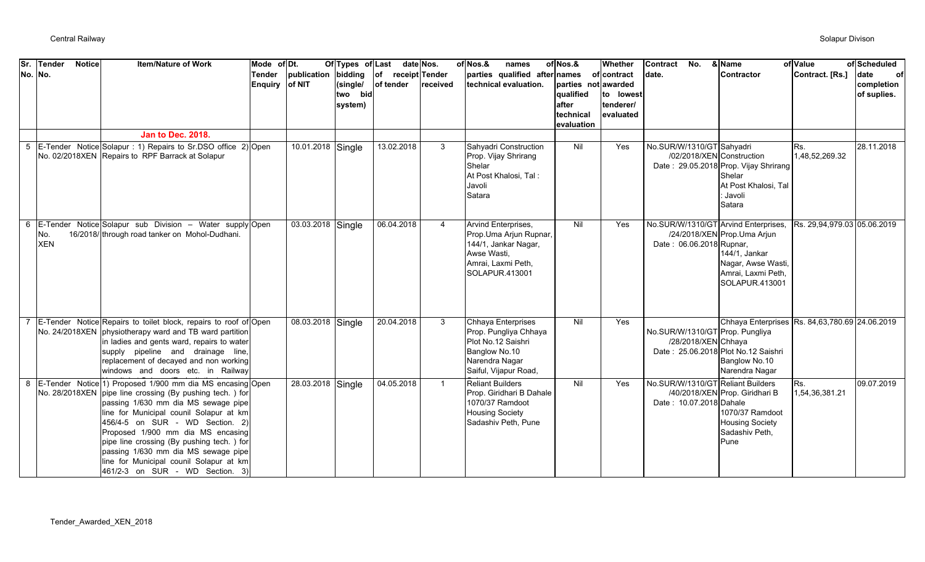| Sr.     | <b>Tender</b>     | <b>Notice</b> | <b>Item/Nature of Work</b>                                                                                                                                                                                                                                                                                                                                                                                                                        | Mode of Dt.                     |                   | Of Types of Last                          |                                | date Nos.    | of Nos.&<br>names                                                                                                             | of Nos.&                                                             | Whether                                            | Contract<br>No.                                                  | & Name                                                                                                                   | of Value                    | of Scheduled                            |
|---------|-------------------|---------------|---------------------------------------------------------------------------------------------------------------------------------------------------------------------------------------------------------------------------------------------------------------------------------------------------------------------------------------------------------------------------------------------------------------------------------------------------|---------------------------------|-------------------|-------------------------------------------|--------------------------------|--------------|-------------------------------------------------------------------------------------------------------------------------------|----------------------------------------------------------------------|----------------------------------------------------|------------------------------------------------------------------|--------------------------------------------------------------------------------------------------------------------------|-----------------------------|-----------------------------------------|
| No. No. |                   |               |                                                                                                                                                                                                                                                                                                                                                                                                                                                   | <b>Tender</b><br>Enquiry of NIT | publication       | bidding<br>(single/<br>two bid<br>system) | of receipt Tender<br>of tender | received     | parties qualified after names<br>technical evaluation.                                                                        | parties not awarded<br>qualified<br>after<br>technical<br>evaluation | of contract<br>to lowest<br>tenderer/<br>evaluated | date.                                                            | Contractor                                                                                                               | Contract. [Rs.]             | date<br>оf<br>completion<br>of suplies. |
|         |                   |               | <b>Jan to Dec. 2018.</b>                                                                                                                                                                                                                                                                                                                                                                                                                          |                                 |                   |                                           |                                |              |                                                                                                                               |                                                                      |                                                    |                                                                  |                                                                                                                          |                             |                                         |
|         |                   |               | 5 E-Tender Notice Solapur : 1) Repairs to Sr.DSO office 2) Open<br>No. 02/2018XEN Repairs to RPF Barrack at Solapur                                                                                                                                                                                                                                                                                                                               |                                 | 10.01.2018 Single |                                           | 13.02.2018                     | 3            | Sahyadri Construction<br>Prop. Vijay Shrirang<br>Shelar<br>At Post Khalosi, Tal:<br>Javoli<br>Satara                          | Nil                                                                  | Yes                                                | No.SUR/W/1310/GT Sahyadri<br>/02/2018/XEN Construction           | Date: 29.05.2018 Prop. Vijay Shrirang<br>Shelar<br>At Post Khalosi, Tal<br>Javoli<br>Satara                              | Rs.<br>1,48,52,269.32       | 28.11.2018                              |
| 6       | No.<br><b>XEN</b> |               | E-Tender Notice Solapur sub Division - Water supply Open<br>16/2018/ through road tanker on Mohol-Dudhani.                                                                                                                                                                                                                                                                                                                                        |                                 | 03.03.2018 Single |                                           | 06.04.2018                     | 4            | Arvind Enterprises,<br>Prop. Uma Arjun Rupnar,<br>144/1, Jankar Nagar,<br>Awse Wasti,<br>Amrai, Laxmi Peth,<br>SOLAPUR.413001 | Nil                                                                  | Yes                                                | No.SUR/W/1310/GT Arvind Enterprises,<br>Date: 06.06.2018 Rupnar, | /24/2018/XEN Prop.Uma Arjun<br>144/1, Jankar<br>Nagar, Awse Wasti,<br>Amrai, Laxmi Peth,<br>SOLAPUR.413001               | Rs. 29,94,979.03 05.06.2019 |                                         |
|         |                   |               | E-Tender Notice Repairs to toilet block, repairs to roof of Open<br>No. 24/2018XEN physiotherapy ward and TB ward partition<br>in ladies and gents ward, repairs to water<br>supply pipeline and drainage line,<br>replacement of decayed and non working<br>windows and doors etc. in Railway                                                                                                                                                    |                                 | 08.03.2018 Single |                                           | 20.04.2018                     | 3            | Chhaya Enterprises<br>Prop. Pungliya Chhaya<br>Plot No.12 Saishri<br>Banglow No.10<br>Narendra Nagar<br>Saiful, Vijapur Road, | Nil                                                                  | Yes                                                | No.SUR/W/1310/GT Prop. Pungliya<br>/28/2018/XEN Chhaya           | Chhaya Enterprises Rs. 84,63,780.69 24.06.2019<br>Date: 25.06.2018 Plot No.12 Saishri<br>Banglow No.10<br>Narendra Nagar |                             |                                         |
| 8       |                   |               | E-Tender Notice 1) Proposed 1/900 mm dia MS encasing Open<br>No. 28/2018XEN pipe line crossing (By pushing tech.) for<br>passing 1/630 mm dia MS sewage pipe<br>line for Municipal counil Solapur at km<br>456/4-5 on SUR - WD Section. 2)<br>Proposed 1/900 mm dia MS encasing<br>pipe line crossing (By pushing tech.) for<br>passing 1/630 mm dia MS sewage pipe<br>line for Municipal counil Solapur at km<br>461/2-3 on SUR - WD Section. 3) |                                 | 28.03.2018 Single |                                           | 04.05.2018                     | $\mathbf{1}$ | <b>Reliant Builders</b><br>Prop. Giridhari B Dahale<br>1070/37 Ramdoot<br><b>Housing Society</b><br>Sadashiv Peth, Pune       | Nil                                                                  | Yes                                                | No.SUR/W/1310/GT Reliant Builders<br>Date: 10.07.2018 Dahale     | /40/2018/XEN Prop. Giridhari B<br>1070/37 Ramdoot<br><b>Housing Society</b><br>Sadashiv Peth,<br>Pune                    | Rs.<br>1,54,36,381.21       | 09.07.2019                              |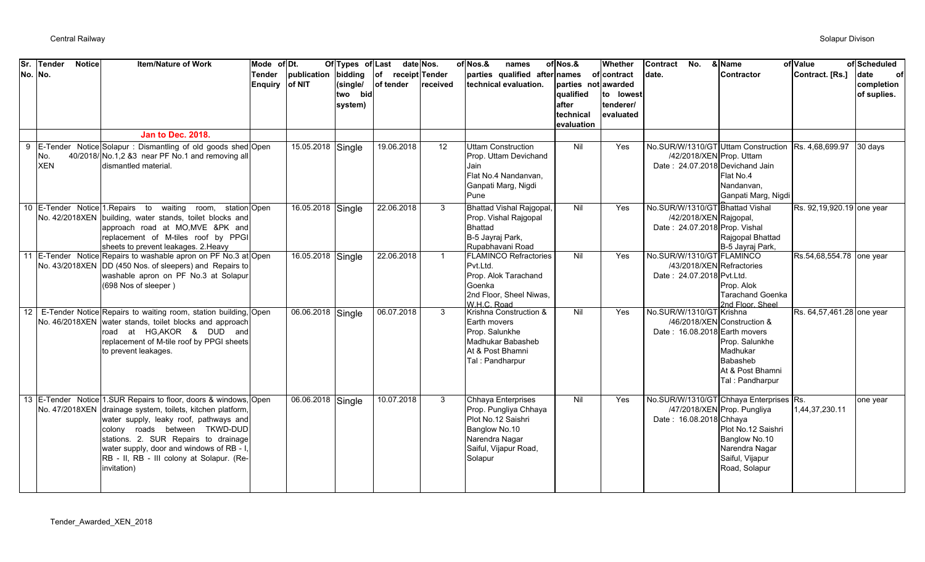| Sr. | Tender<br><b>Notice</b><br>No. No. | <b>Item/Nature of Work</b><br><b>Jan to Dec. 2018.</b>                                                                                                                                                                                                                                                                                                    | Mode of Dt.<br><b>Tender</b><br>Enquiry of NIT | publication       | Of Types of Last<br>bidding<br>(single/<br>two bid<br>system) | $\mathsf{I}$<br>receipt Tender<br>of tender | date Nos.<br>received | of Nos.&<br>names<br>parties qualified after names<br>technical evaluation.                                                                       | of Nos.&<br>parties not awarded<br>qualified<br>after<br>technical<br>evaluation | Whether<br>of contract<br>to lowest<br>tenderer/<br>evaluated | <b>Contract</b><br>No.<br>date.                                                                                         | & Name<br><b>Contractor</b>                                                                                                                                         | of Value<br>Contract. [Rs.] | of Scheduled<br>date<br>of<br>completion<br>of suplies. |
|-----|------------------------------------|-----------------------------------------------------------------------------------------------------------------------------------------------------------------------------------------------------------------------------------------------------------------------------------------------------------------------------------------------------------|------------------------------------------------|-------------------|---------------------------------------------------------------|---------------------------------------------|-----------------------|---------------------------------------------------------------------------------------------------------------------------------------------------|----------------------------------------------------------------------------------|---------------------------------------------------------------|-------------------------------------------------------------------------------------------------------------------------|---------------------------------------------------------------------------------------------------------------------------------------------------------------------|-----------------------------|---------------------------------------------------------|
|     | INo.<br><b>XEN</b>                 | 9 E-Tender Notice Solapur: Dismantling of old goods shed Open<br>40/2018/ No.1,2 &3 near PF No.1 and removing all<br>dismantled material.                                                                                                                                                                                                                 |                                                | 15.05.2018 Single |                                                               | 19.06.2018                                  | 12                    | <b>Uttam Construction</b><br>Prop. Uttam Devichand<br>Jain<br>Flat No.4 Nandanvan,<br>Ganpati Marg, Nigdi<br>Pune                                 | Nil                                                                              | Yes                                                           | No.SUR/W/1310/GT Uttam Construction<br>/42/2018/XEN Prop. Uttam<br>Date: 24.07.2018 Devichand Jain                      | Flat No.4<br>Nandanvan.<br>Ganpati Marg, Nigdi                                                                                                                      | Rs. 4,68,699.97             | 30 days                                                 |
|     |                                    | 10 E-Tender Notice 1. Repairs to waiting room, station Open<br>No. 42/2018XEN building, water stands, toilet blocks and<br>approach road at MO, MVE & PK and<br>replacement of M-tiles roof by PPGI<br>sheets to prevent leakages. 2. Heavy                                                                                                               |                                                | 16.05.2018 Single |                                                               | 22.06.2018<br>22.06.2018                    | 3                     | <b>Bhattad Vishal Rajgopal</b><br>Prop. Vishal Rajgopal<br><b>Bhattad</b><br>B-5 Jayraj Park,<br>Rupabhavani Road<br><b>FLAMINCO Refractories</b> | Nil                                                                              | Yes                                                           | No.SUR/W/1310/GT Bhattad Vishal<br>/42/2018/XEN Rajgopal,<br>Date: 24.07.2018 Prop. Vishal<br>No.SUR/W/1310/GT FLAMINCO | Rajgopal Bhattad<br>B-5 Jayraj Park,                                                                                                                                | Rs. 92,19,920.19 one year   |                                                         |
|     |                                    | 11 E-Tender Notice Repairs to washable apron on PF No.3 at Open<br>No. 43/2018XEN DD (450 Nos. of sleepers) and Repairs to<br>washable apron on PF No.3 at Solapur<br>(698 Nos of sleeper)                                                                                                                                                                |                                                | 16.05.2018        | Single                                                        |                                             | $\overline{1}$        | Pvt.Ltd.<br>Prop. Alok Tarachand<br>Goenka<br>2nd Floor, Sheel Niwas,<br>W H C Road                                                               | Nil                                                                              | Yes                                                           | /43/2018/XEN Refractories<br>Date: 24.07.2018 Pvt.Ltd.                                                                  | Prop. Alok<br><b>Tarachand Goenka</b><br>2nd Floor, Sheel                                                                                                           | Rs.54,68,554.78 one year    |                                                         |
|     |                                    | 12 E-Tender Notice Repairs to waiting room, station building, Open<br>No. 46/2018XEN water stands, toilet blocks and approach<br>road at HG, AKOR & DUD and<br>replacement of M-tile roof by PPGI sheets<br>to prevent leakages.                                                                                                                          |                                                | 06.06.2018 Single |                                                               | 06.07.2018                                  | 3                     | Krishna Construction &<br>Earth movers<br>Prop. Salunkhe<br>Madhukar Babasheb<br>At & Post Bhamni<br>Tal: Pandharpur                              | Nil                                                                              | Yes                                                           | No.SUR/W/1310/GT Krishna<br>Date: 16.08.2018 Earth movers                                                               | /46/2018/XEN Construction &<br>Prop. Salunkhe<br>Madhukar<br>Babasheb<br>At & Post Bhamni<br>Tal: Pandharpur                                                        | Rs. 64,57,461.28 one year   |                                                         |
|     |                                    | 13 E-Tender Notice 1.SUR Repairs to floor, doors & windows, Open<br>No. 47/2018XEN drainage system, toilets, kitchen platform,<br>water supply, leaky roof, pathways and<br>colony roads between TKWD-DUD<br>stations. 2. SUR Repairs to drainage<br>water supply, door and windows of RB - I<br>RB - II, RB - III colony at Solapur. (Re-<br>invitation) |                                                | 06.06.2018 Single |                                                               | 10.07.2018                                  | 3                     | Chhaya Enterprises<br>Prop. Pungliya Chhaya<br>Plot No.12 Saishri<br>Banglow No.10<br>Narendra Nagar<br>Saiful, Vijapur Road,<br>Solapur          | Nil                                                                              | Yes                                                           | Date: 16.08.2018 Chhaya                                                                                                 | No.SUR/W/1310/GT Chhaya Enterprises Rs.<br>/47/2018/XEN Prop. Pungliya<br>Plot No.12 Saishri<br>Banglow No.10<br>Narendra Nagar<br>Saiful, Vijapur<br>Road, Solapur | 1,44,37,230.11              | one year                                                |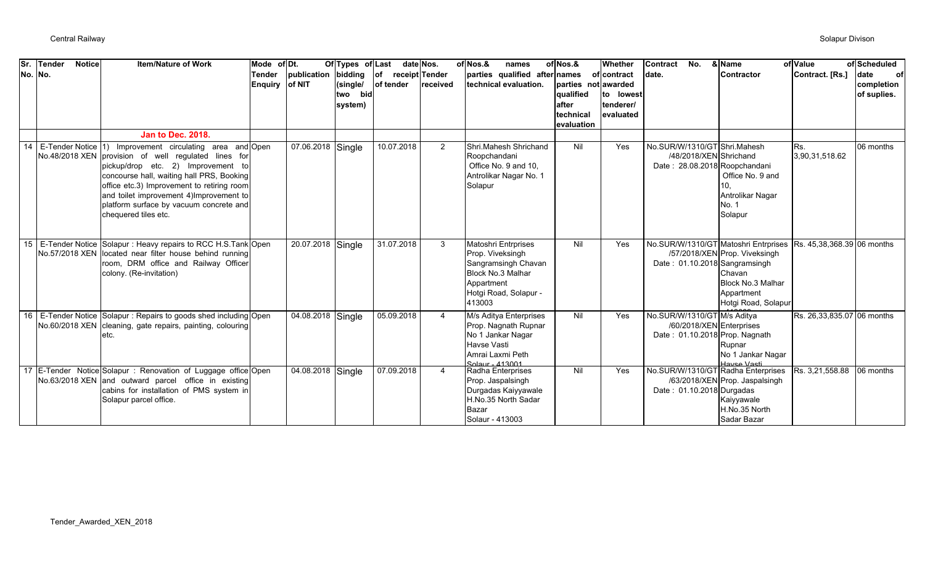| Sr. | Tender<br><b>Notice</b><br>No. No. | <b>Item/Nature of Work</b><br><b>Jan to Dec. 2018.</b>                                                                                                                                                                                                                                                                                                              | Mode of Dt.<br><b>Tender</b><br><b>Enquiry</b> | publication<br>of NIT | Of Types of Last<br>bidding<br>(single/<br>two bid<br>system) | $ $ of<br>receipt Tender<br>of tender | date Nos.<br>received | of Nos.&<br>names<br>parties qualified after names<br>technical evaluation.                                                                 | of Nos.&<br>parties not awarded<br>qualified<br>lafter<br>technical<br>evaluation | Whether<br>of contract<br>to lowest<br>tenderer/<br>evaluated | <b>Contract</b><br>No.<br>date.                                                           | & Name<br><b>Contractor</b>                                                                       | of Value<br>Contract. [Rs.] | of Scheduled<br><b>date</b><br>of<br>completion<br>of suplies. |
|-----|------------------------------------|---------------------------------------------------------------------------------------------------------------------------------------------------------------------------------------------------------------------------------------------------------------------------------------------------------------------------------------------------------------------|------------------------------------------------|-----------------------|---------------------------------------------------------------|---------------------------------------|-----------------------|---------------------------------------------------------------------------------------------------------------------------------------------|-----------------------------------------------------------------------------------|---------------------------------------------------------------|-------------------------------------------------------------------------------------------|---------------------------------------------------------------------------------------------------|-----------------------------|----------------------------------------------------------------|
|     |                                    | 14 E-Tender Notice 1) Improvement circulating area and Open<br>No.48/2018 XEN provision of well regulated lines for<br>pickup/drop etc. 2) Improvement to<br>concourse hall, waiting hall PRS, Booking<br>office etc.3) Improvement to retiring room<br>and toilet improvement 4) Improvement to<br>platform surface by vacuum concrete and<br>chequered tiles etc. |                                                | 07.06.2018            | Single                                                        | 10.07.2018                            | $\overline{2}$        | Shri.Mahesh Shrichand<br>Roopchandani<br>Office No. 9 and 10.<br>Antrolikar Nagar No. 1<br>Solapur                                          | Nil                                                                               | Yes                                                           | No.SUR/W/1310/GT Shri.Mahesh<br>/48/2018/XEN Shrichand<br>Date: 28.08.2018 Roopchandani   | Office No. 9 and<br>10.<br>Antrolikar Nagar<br>No. 1<br>Solapur                                   | Rs.<br>3,90,31,518.62       | 06 months                                                      |
|     |                                    | 15 E-Tender Notice Solapur : Heavy repairs to RCC H.S.Tank Open<br>No.57/2018 XEN located near filter house behind running<br>room, DRM office and Railway Officer<br>colony. (Re-invitation)                                                                                                                                                                       |                                                | 20.07.2018 Single     |                                                               | 31.07.2018                            | 3                     | <b>Matoshri Entrprises</b><br>Prop. Viveksingh<br>Sangramsingh Chavan<br>Block No.3 Malhar<br>Appartment<br>Hotgi Road, Solapur -<br>413003 | Nil                                                                               | Yes                                                           | No.SUR/W/1310/GT Matoshri Entrprises<br>Date: 01.10.2018 Sangramsingh                     | /57/2018/XEN Prop. Viveksingh<br>Chavan<br>Block No.3 Malhar<br>Appartment<br>Hotgi Road, Solapur | Rs. 45,38,368.39 06 months  |                                                                |
|     |                                    | 16 E-Tender Notice Solapur: Repairs to goods shed including Open<br>No.60/2018 XEN cleaning, gate repairs, painting, colouring<br>etc.                                                                                                                                                                                                                              |                                                | 04.08.2018 Single     |                                                               | 05.09.2018                            | 4                     | M/s Aditya Enterprises<br>Prop. Nagnath Rupnar<br>No 1 Jankar Nagar<br>Havse Vasti<br>Amrai Laxmi Peth<br>Solaur - 413001                   | Nil                                                                               | Yes                                                           | No.SUR/W/1310/GT M/s Aditya<br>/60/2018/XEN Enterprises<br>Date: 01.10.2018 Prop. Nagnath | Rupnar<br>No 1 Jankar Nagar<br>Haven Vacti                                                        | Rs. 26,33,835.07 06 months  |                                                                |
|     |                                    | 17 E-Tender Notice Solapur : Renovation of Luggage office Open<br>No.63/2018 XEN and outward parcel office in existing<br>cabins for installation of PMS system in<br>Solapur parcel office.                                                                                                                                                                        |                                                | 04.08.2018 Single     |                                                               | 07.09.2018                            | $\overline{4}$        | Radha Enterprises<br>Prop. Jaspalsingh<br>Durgadas Kaiyyawale<br>H.No.35 North Sadar<br>Bazar<br>Solaur - 413003                            | Nil                                                                               | Yes                                                           | No.SUR/W/1310/GT Radha Enterprises<br>Date: 01.10.2018 Durgadas                           | /63/2018/XEN Prop. Jaspalsingh<br>Kaiyyawale<br>H.No.35 North<br>Sadar Bazar                      | Rs. 3,21,558.88             | 06 months                                                      |